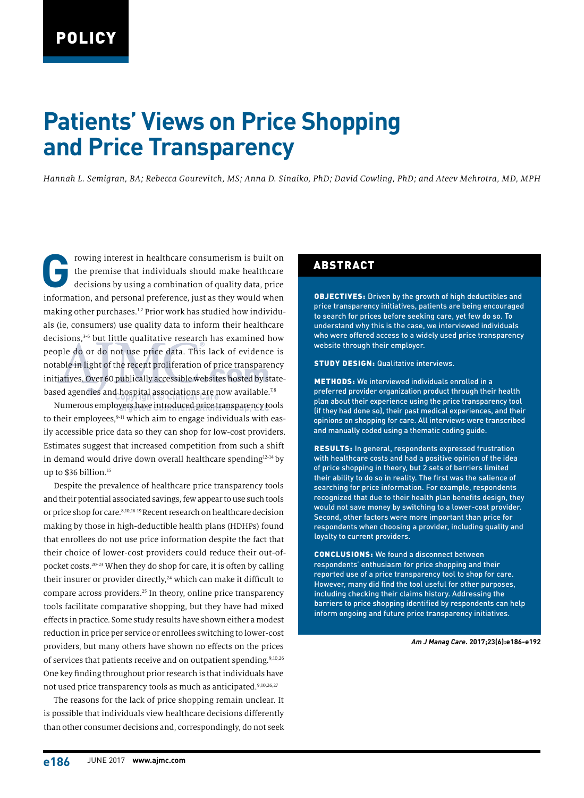# **Patients' Views on Price Shopping and Price Transparency**

*Hannah L. Semigran, BA; Rebecca Gourevitch, MS; Anna D. Sinaiko, PhD; David Cowling, PhD; and Ateev Mehrotra, MD, MPH*

Frowing interest in healthcare consumerism is built on the premise that individuals should make healthcare decisions by using a combination of quality data, price the premise that individuals should make healthcare decisions by using a combination of quality data, price information, and personal preference, just as they would when making other purchases.1,2 Prior work has studied how individuals (ie, consumers) use quality data to inform their healthcare decisions,<sup>3-6</sup> but little qualitative research has examined how people do or do not use price data. This lack of evidence is notable in light of the recent proliferation of price transparency initiatives. Over 60 publically accessible websites hosted by statebased agencies and hospital associations are now available.<sup>7,8</sup>

Numerous employers have introduced price transparency tools to their employees, $9-11$  which aim to engage individuals with easily accessible price data so they can shop for low-cost providers. Estimates suggest that increased competition from such a shift in demand would drive down overall healthcare spending<sup>12-14</sup> by up to \$36 billion.15

Despite the prevalence of healthcare price transparency tools and their potential associated savings, few appear to use such tools or price shop for care.8,10,16-19 Recent research on healthcare decision making by those in high-deductible health plans (HDHPs) found that enrollees do not use price information despite the fact that their choice of lower-cost providers could reduce their out-ofpocket costs.<sup>20-23</sup> When they do shop for care, it is often by calling their insurer or provider directly,<sup>24</sup> which can make it difficult to compare across providers.25 In theory, online price transparency tools facilitate comparative shopping, but they have had mixed effects in practice. Some study results have shown either a modest reduction in price per service or enrollees switching to lower-cost providers, but many others have shown no effects on the prices of services that patients receive and on outpatient spending.<sup>9,10,26</sup> One key finding throughout prior research is that individuals have not used price transparency tools as much as anticipated.<sup>9,10,26,27</sup>

The reasons for the lack of price shopping remain unclear. It is possible that individuals view healthcare decisions differently than other consumer decisions and, correspondingly, do not seek

### ABSTRACT

OBJECTIVES: Driven by the growth of high deductibles and price transparency initiatives, patients are being encouraged to search for prices before seeking care, yet few do so. To understand why this is the case, we interviewed individuals who were offered access to a widely used price transparency website through their employer.

#### STUDY DESIGN: Qualitative interviews.

METHODS: We interviewed individuals enrolled in a preferred provider organization product through their health plan about their experience using the price transparency tool (if they had done so), their past medical experiences, and their opinions on shopping for care. All interviews were transcribed and manually coded using a thematic coding guide.

RESULTS: In general, respondents expressed frustration with healthcare costs and had a positive opinion of the idea of price shopping in theory, but 2 sets of barriers limited their ability to do so in reality. The first was the salience of searching for price information. For example, respondents recognized that due to their health plan benefits design, they would not save money by switching to a lower-cost provider. Second, other factors were more important than price for respondents when choosing a provider, including quality and loyalty to current providers.

CONCLUSIONS: We found a disconnect between respondents' enthusiasm for price shopping and their reported use of a price transparency tool to shop for care. However, many did find the tool useful for other purposes, including checking their claims history. Addressing the barriers to price shopping identified by respondents can help inform ongoing and future price transparency initiatives.

#### *Am J Manag Care***. 2017;23(6):e186-e192**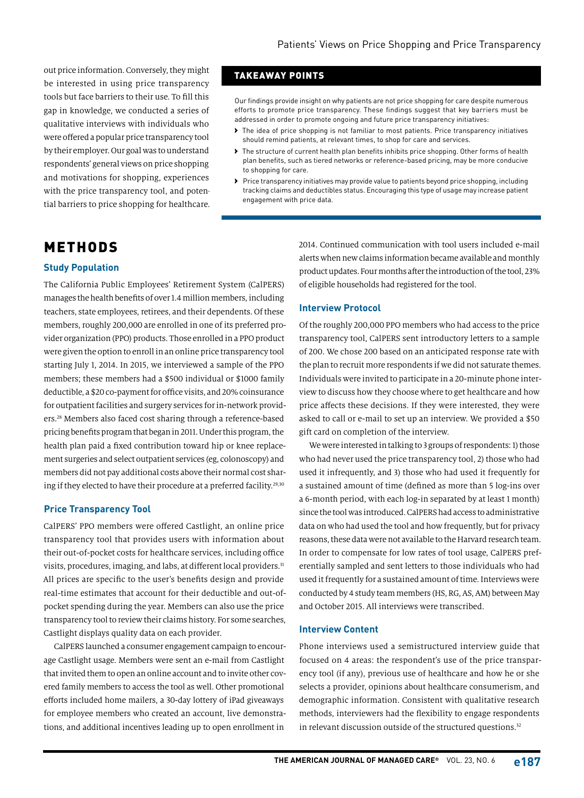out price information. Conversely, they might be interested in using price transparency tools but face barriers to their use. To fill this gap in knowledge, we conducted a series of qualitative interviews with individuals who were offered a popular price transparency tool by their employer. Our goal was to understand respondents' general views on price shopping, and motivations for shopping, experiences with the price transparency tool, and potential barriers to price shopping for healthcare.

## TAKEAWAY POINTS

Our findings provide insight on why patients are not price shopping for care despite numerous efforts to promote price transparency. These findings suggest that key barriers must be addressed in order to promote ongoing and future price transparency initiatives:

- › The idea of price shopping is not familiar to most patients. Price transparency initiatives should remind patients, at relevant times, to shop for care and services.
- › The structure of current health plan benefits inhibits price shopping. Other forms of health plan benefits, such as tiered networks or reference-based pricing, may be more conducive to shopping for care.
- › Price transparency initiatives may provide value to patients beyond price shopping, including tracking claims and deductibles status. Encouraging this type of usage may increase patient engagement with price data.

# METHODS

### **Study Population**

The California Public Employees' Retirement System (CalPERS) manages the health benefits of over 1.4 million members, including teachers, state employees, retirees, and their dependents. Of these members, roughly 200,000 are enrolled in one of its preferred provider organization (PPO) products. Those enrolled in a PPO product were given the option to enroll in an online price transparency tool starting July 1, 2014. In 2015, we interviewed a sample of the PPO members; these members had a \$500 individual or \$1000 family deductible, a \$20 co-payment for office visits, and 20% coinsurance for outpatient facilities and surgery services for in-network providers.28 Members also faced cost sharing through a reference-based pricing benefits program that began in 2011. Under this program, the health plan paid a fixed contribution toward hip or knee replacement surgeries and select outpatient services (eg, colonoscopy) and members did not pay additional costs above their normal cost sharing if they elected to have their procedure at a preferred facility.<sup>29,30</sup>

### **Price Transparency Tool**

CalPERS' PPO members were offered Castlight, an online price transparency tool that provides users with information about their out-of-pocket costs for healthcare services, including office visits, procedures, imaging, and labs, at different local providers.<sup>31</sup> All prices are specific to the user's benefits design and provide real-time estimates that account for their deductible and out-ofpocket spending during the year. Members can also use the price transparency tool to review their claims history. For some searches, Castlight displays quality data on each provider.

CalPERS launched a consumer engagement campaign to encourage Castlight usage. Members were sent an e-mail from Castlight that invited them to open an online account and to invite other covered family members to access the tool as well. Other promotional efforts included home mailers, a 30-day lottery of iPad giveaways for employee members who created an account, live demonstrations, and additional incentives leading up to open enrollment in

2014. Continued communication with tool users included e-mail alerts when new claims information became available and monthly product updates. Four months after the introduction of the tool, 23% of eligible households had registered for the tool.

### **Interview Protocol**

Of the roughly 200,000 PPO members who had access to the price transparency tool, CalPERS sent introductory letters to a sample of 200. We chose 200 based on an anticipated response rate with the plan to recruit more respondents if we did not saturate themes. Individuals were invited to participate in a 20-minute phone interview to discuss how they choose where to get healthcare and how price affects these decisions. If they were interested, they were asked to call or e-mail to set up an interview. We provided a \$50 gift card on completion of the interview.

We were interested in talking to 3 groups of respondents: 1) those who had never used the price transparency tool, 2) those who had used it infrequently, and 3) those who had used it frequently for a sustained amount of time (defined as more than 5 log-ins over a 6-month period, with each log-in separated by at least 1 month) since the tool was introduced. CalPERS had access to administrative data on who had used the tool and how frequently, but for privacy reasons, these data were not available to the Harvard research team. In order to compensate for low rates of tool usage, CalPERS preferentially sampled and sent letters to those individuals who had used it frequently for a sustained amount of time. Interviews were conducted by 4 study team members (HS, RG, AS, AM) between May and October 2015. All interviews were transcribed.

### **Interview Content**

Phone interviews used a semistructured interview guide that focused on 4 areas: the respondent's use of the price transparency tool (if any), previous use of healthcare and how he or she selects a provider, opinions about healthcare consumerism, and demographic information. Consistent with qualitative research methods, interviewers had the flexibility to engage respondents in relevant discussion outside of the structured questions.<sup>32</sup>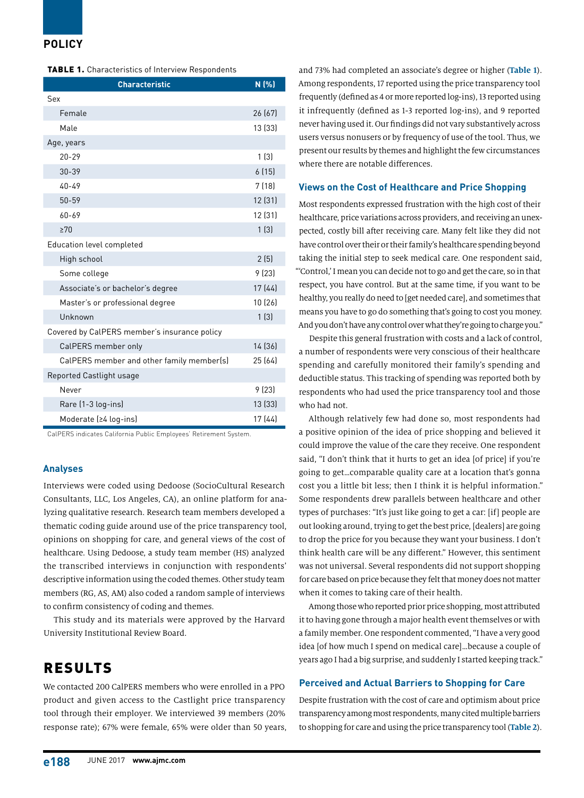## **POLICY**

| <b>TABLE 1.</b> Characteristics of Interview Respondents |  |
|----------------------------------------------------------|--|
|----------------------------------------------------------|--|

| <b>Characteristic</b>                        | N(%)    |
|----------------------------------------------|---------|
| Sex                                          |         |
| Female                                       | 26 (67) |
| Male                                         | 13 (33) |
| Age, years                                   |         |
| $20 - 29$                                    | 1(3)    |
| $30 - 39$                                    | 6(15)   |
| $40 - 49$                                    | 7(18)   |
| $50 - 59$                                    | 12 (31) |
| 60-69                                        | 12 (31) |
| $\geq 70$                                    | 1(3)    |
| Education level completed                    |         |
| High school                                  | 2(5)    |
| Some college                                 | 9(23)   |
| Associate's or bachelor's degree             | 17(44)  |
| Master's or professional degree              | 10 (26) |
| Unknown                                      | 1(3)    |
| Covered by CalPERS member's insurance policy |         |
| CalPERS member only                          | 14 (36) |
| CalPERS member and other family member(s)    | 25 (64) |
| Reported Castlight usage                     |         |
| Never                                        | 9(23)   |
| Rare (1-3 log-ins)                           | 13 (33) |
| Moderate (≥4 log-ins)                        | 17 (44) |

CalPERS indicates California Public Employees' Retirement System.

#### **Analyses**

Interviews were coded using Dedoose (SocioCultural Research Consultants, LLC, Los Angeles, CA), an online platform for analyzing qualitative research. Research team members developed a thematic coding guide around use of the price transparency tool, opinions on shopping for care, and general views of the cost of healthcare. Using Dedoose, a study team member (HS) analyzed the transcribed interviews in conjunction with respondents' descriptive information using the coded themes. Other study team members (RG, AS, AM) also coded a random sample of interviews to confirm consistency of coding and themes.

This study and its materials were approved by the Harvard University Institutional Review Board.

# RESULTS

We contacted 200 CalPERS members who were enrolled in a PPO product and given access to the Castlight price transparency tool through their employer. We interviewed 39 members (20% response rate); 67% were female, 65% were older than 50 years, and 73% had completed an associate's degree or higher (**Table 1**). Among respondents, 17 reported using the price transparency tool frequently (defined as 4 or more reported log-ins), 13 reported using it infrequently (defined as 1-3 reported log-ins), and 9 reported never having used it. Our findings did not vary substantively across users versus nonusers or by frequency of use of the tool. Thus, we present our results by themes and highlight the few circumstances where there are notable differences.

#### **Views on the Cost of Healthcare and Price Shopping**

Most respondents expressed frustration with the high cost of their healthcare, price variations across providers, and receiving an unexpected, costly bill after receiving care. Many felt like they did not have control over their or their family's healthcare spending beyond taking the initial step to seek medical care. One respondent said, "'Control,' I mean you can decide not to go and get the care, so in that respect, you have control. But at the same time, if you want to be healthy, you really do need to [get needed care], and sometimes that means you have to go do something that's going to cost you money. And you don't have any control over what they're going to charge you."

Despite this general frustration with costs and a lack of control, a number of respondents were very conscious of their healthcare spending and carefully monitored their family's spending and deductible status. This tracking of spending was reported both by respondents who had used the price transparency tool and those who had not.

Although relatively few had done so, most respondents had a positive opinion of the idea of price shopping and believed it could improve the value of the care they receive. One respondent said, "I don't think that it hurts to get an idea [of price] if you're going to get…comparable quality care at a location that's gonna cost you a little bit less; then I think it is helpful information." Some respondents drew parallels between healthcare and other types of purchases: "It's just like going to get a car: [if] people are out looking around, trying to get the best price, [dealers] are going to drop the price for you because they want your business. I don't think health care will be any different." However, this sentiment was not universal. Several respondents did not support shopping for care based on price because they felt that money does not matter when it comes to taking care of their health.

Among those who reported prior price shopping, most attributed it to having gone through a major health event themselves or with a family member. One respondent commented, "I have a very good idea [of how much I spend on medical care]…because a couple of years ago I had a big surprise, and suddenly I started keeping track."

### **Perceived and Actual Barriers to Shopping for Care**

Despite frustration with the cost of care and optimism about price transparency among most respondents, many cited multiple barriers to shopping for care and using the price transparency tool (**Table 2**).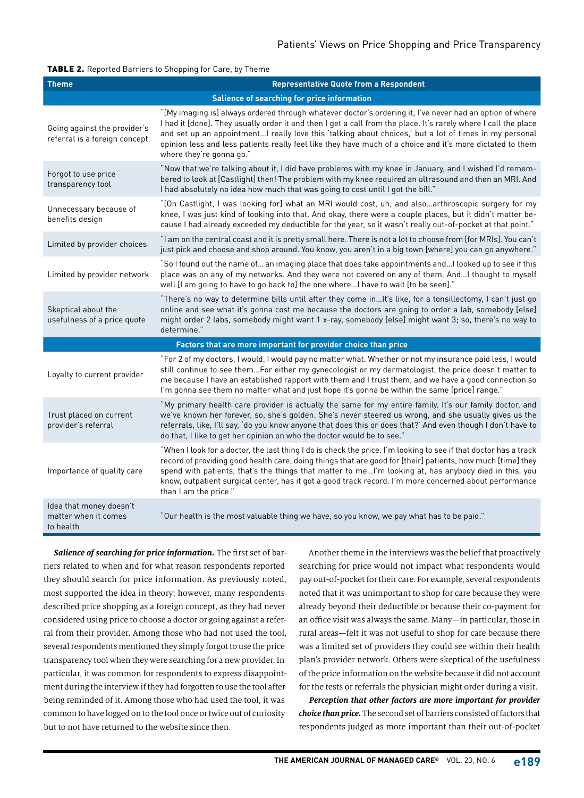#### TABLE 2. Reported Barriers to Shopping for Care, by Theme

| <b>Theme</b>                                                   | <b>Representative Quote from a Respondent</b>                                                                                                                                                                                                                                                                                                                                                                                                                                   |  |
|----------------------------------------------------------------|---------------------------------------------------------------------------------------------------------------------------------------------------------------------------------------------------------------------------------------------------------------------------------------------------------------------------------------------------------------------------------------------------------------------------------------------------------------------------------|--|
| <b>Salience of searching for price information</b>             |                                                                                                                                                                                                                                                                                                                                                                                                                                                                                 |  |
| Going against the provider's<br>referral is a foreign concept  | "[My imaging is] always ordered through whatever doctor's ordering it, I've never had an option of where<br>I had it [done]. They usually order it and then I get a call from the place. It's rarely where I call the place<br>and set up an appointment I really love this 'talking about choices,' but a lot of times in my personal<br>opinion less and less patients really feel like they have much of a choice and it's more dictated to them<br>where they're gonna go." |  |
| Forgot to use price<br>transparency tool                       | "Now that we're talking about it, I did have problems with my knee in January, and I wished I'd remem-<br>bered to look at [Castlight] then! The problem with my knee required an ultrasound and then an MRI. And<br>I had absolutely no idea how much that was going to cost until I got the bill."                                                                                                                                                                            |  |
| Unnecessary because of<br>benefits design                      | "[On Castlight, I was looking for] what an MRI would cost, uh, and alsoarthroscopic surgery for my<br>knee, I was just kind of looking into that. And okay, there were a couple places, but it didn't matter be-<br>cause I had already exceeded my deductible for the year, so it wasn't really out-of-pocket at that point."                                                                                                                                                  |  |
| Limited by provider choices                                    | "I am on the central coast and it is pretty small here. There is not a lot to choose from [for MRIs]. You can't<br>just pick and choose and shop around. You know, you aren't in a big town [where] you can go anywhere."                                                                                                                                                                                                                                                       |  |
| Limited by provider network                                    | "So I found out the name of an imaging place that does take appointments and I looked up to see if this<br>place was on any of my networks. And they were not covered on any of them. And I thought to myself<br>well [I am going to have to go back to] the one whereI have to wait [to be seen]."                                                                                                                                                                             |  |
| Skeptical about the<br>usefulness of a price quote             | "There's no way to determine bills until after they come inIt's like, for a tonsillectomy, I can't just go<br>online and see what it's gonna cost me because the doctors are going to order a lab, somebody [else]<br>might order 2 labs, somebody might want 1 x-ray, somebody [else] might want 3; so, there's no way to<br>determine."                                                                                                                                       |  |
| Factors that are more important for provider choice than price |                                                                                                                                                                                                                                                                                                                                                                                                                                                                                 |  |
| Loyalty to current provider                                    | "For 2 of my doctors, I would, I would pay no matter what. Whether or not my insurance paid less, I would<br>still continue to see themFor either my gynecologist or my dermatologist, the price doesn't matter to<br>me because I have an established rapport with them and I trust them, and we have a good connection so<br>I'm gonna see them no matter what and just hope it's gonna be within the same [price] range."                                                    |  |
| Trust placed on current<br>provider's referral                 | "My primary health care provider is actually the same for my entire family. It's our family doctor, and<br>we've known her forever, so, she's golden. She's never steered us wrong, and she usually gives us the<br>referrals, like, I'll say, 'do you know anyone that does this or does that?' And even though I don't have to<br>do that, I like to get her opinion on who the doctor would be to see."                                                                      |  |
| Importance of quality care                                     | "When I look for a doctor, the last thing I do is check the price. I'm looking to see if that doctor has a track<br>record of providing good health care, doing things that are good for [their] patients, how much [time] they<br>spend with patients, that's the things that matter to meI'm looking at, has anybody died in this, you<br>know, outpatient surgical center, has it got a good track record. I'm more concerned about performance<br>than I am the price."     |  |
| Idea that money doesn't<br>matter when it comes<br>to health   | "Our health is the most valuable thing we have, so you know, we pay what has to be paid."                                                                                                                                                                                                                                                                                                                                                                                       |  |

*Salience of searching for price information.* The first set of barriers related to when and for what reason respondents reported they should search for price information. As previously noted, most supported the idea in theory; however, many respondents described price shopping as a foreign concept, as they had never considered using price to choose a doctor or going against a referral from their provider. Among those who had not used the tool, several respondents mentioned they simply forgot to use the price transparency tool when they were searching for a new provider. In particular, it was common for respondents to express disappointment during the interview if they had forgotten to use the tool after being reminded of it. Among those who had used the tool, it was common to have logged on to the tool once or twice out of curiosity but to not have returned to the website since then.

Another theme in the interviews was the belief that proactively searching for price would not impact what respondents would pay out-of-pocket for their care. For example, several respondents noted that it was unimportant to shop for care because they were already beyond their deductible or because their co-payment for an office visit was always the same. Many—in particular, those in rural areas—felt it was not useful to shop for care because there was a limited set of providers they could see within their health plan's provider network. Others were skeptical of the usefulness of the price information on the website because it did not account for the tests or referrals the physician might order during a visit.

*Perception that other factors are more important for provider choice than price.* The second set of barriers consisted of factors that respondents judged as more important than their out-of-pocket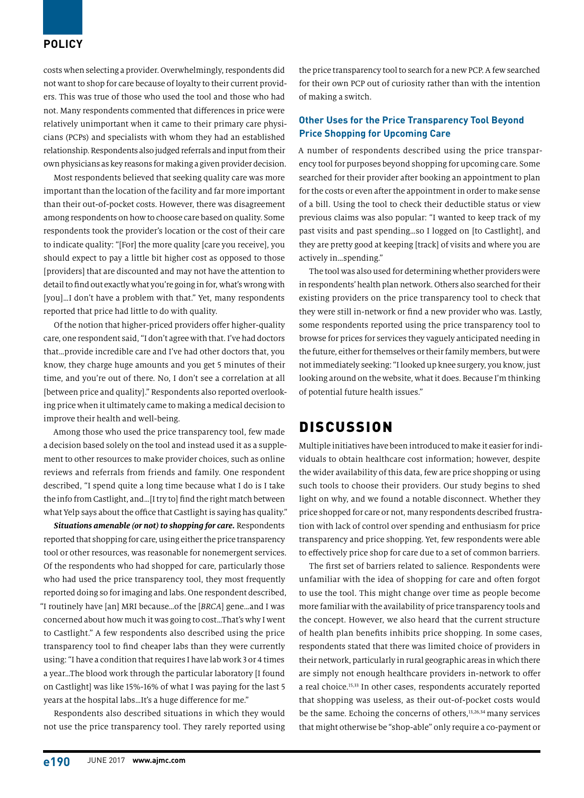### **POLICY**

costs when selecting a provider. Overwhelmingly, respondents did not want to shop for care because of loyalty to their current providers. This was true of those who used the tool and those who had not. Many respondents commented that differences in price were relatively unimportant when it came to their primary care physicians (PCPs) and specialists with whom they had an established relationship. Respondents also judged referrals and input from their own physicians as key reasons for making a given provider decision.

Most respondents believed that seeking quality care was more important than the location of the facility and far more important than their out-of-pocket costs. However, there was disagreement among respondents on how to choose care based on quality. Some respondents took the provider's location or the cost of their care to indicate quality: "[For] the more quality [care you receive], you should expect to pay a little bit higher cost as opposed to those [providers] that are discounted and may not have the attention to detail to find out exactly what you're going in for, what's wrong with [you]...I don't have a problem with that." Yet, many respondents reported that price had little to do with quality.

Of the notion that higher-priced providers offer higher-quality care, one respondent said, "I don't agree with that. I've had doctors that…provide incredible care and I've had other doctors that, you know, they charge huge amounts and you get 5 minutes of their time, and you're out of there. No, I don't see a correlation at all [between price and quality]." Respondents also reported overlooking price when it ultimately came to making a medical decision to improve their health and well-being.

Among those who used the price transparency tool, few made a decision based solely on the tool and instead used it as a supplement to other resources to make provider choices, such as online reviews and referrals from friends and family. One respondent described, "I spend quite a long time because what I do is I take the info from Castlight, and…[I try to] find the right match between what Yelp says about the office that Castlight is saying has quality."

*Situations amenable (or not) to shopping for care.* Respondents reported that shopping for care, using either the price transparency tool or other resources, was reasonable for nonemergent services. Of the respondents who had shopped for care, particularly those who had used the price transparency tool, they most frequently reported doing so for imaging and labs. One respondent described, "I routinely have [an] MRI because…of the [*BRCA*] gene…and I was concerned about how much it was going to cost…That's why I went to Castlight." A few respondents also described using the price transparency tool to find cheaper labs than they were currently using: "I have a condition that requires I have lab work 3 or 4 times a year…The blood work through the particular laboratory [I found on Castlight] was like 15%-16% of what I was paying for the last 5 years at the hospital labs…It's a huge difference for me."

Respondents also described situations in which they would not use the price transparency tool. They rarely reported using

the price transparency tool to search for a new PCP. A few searched for their own PCP out of curiosity rather than with the intention of making a switch.

### **Other Uses for the Price Transparency Tool Beyond Price Shopping for Upcoming Care**

A number of respondents described using the price transparency tool for purposes beyond shopping for upcoming care. Some searched for their provider after booking an appointment to plan for the costs or even after the appointment in order to make sense of a bill. Using the tool to check their deductible status or view previous claims was also popular: "I wanted to keep track of my past visits and past spending…so I logged on [to Castlight], and they are pretty good at keeping [track] of visits and where you are actively in…spending."

The tool was also used for determining whether providers were in respondents' health plan network. Others also searched for their existing providers on the price transparency tool to check that they were still in-network or find a new provider who was. Lastly, some respondents reported using the price transparency tool to browse for prices for services they vaguely anticipated needing in the future, either for themselves or their family members, but were not immediately seeking: "I looked up knee surgery, you know, just looking around on the website, what it does. Because I'm thinking of potential future health issues."

# DISCUSSION

Multiple initiatives have been introduced to make it easier for individuals to obtain healthcare cost information; however, despite the wider availability of this data, few are price shopping or using such tools to choose their providers. Our study begins to shed light on why, and we found a notable disconnect. Whether they price shopped for care or not, many respondents described frustration with lack of control over spending and enthusiasm for price transparency and price shopping. Yet, few respondents were able to effectively price shop for care due to a set of common barriers.

The first set of barriers related to salience. Respondents were unfamiliar with the idea of shopping for care and often forgot to use the tool. This might change over time as people become more familiar with the availability of price transparency tools and the concept. However, we also heard that the current structure of health plan benefits inhibits price shopping. In some cases, respondents stated that there was limited choice of providers in their network, particularly in rural geographic areas in which there are simply not enough healthcare providers in-network to offer a real choice.<sup>15,33</sup> In other cases, respondents accurately reported that shopping was useless, as their out-of-pocket costs would be the same. Echoing the concerns of others,<sup>13,26,34</sup> many services that might otherwise be "shop-able" only require a co-payment or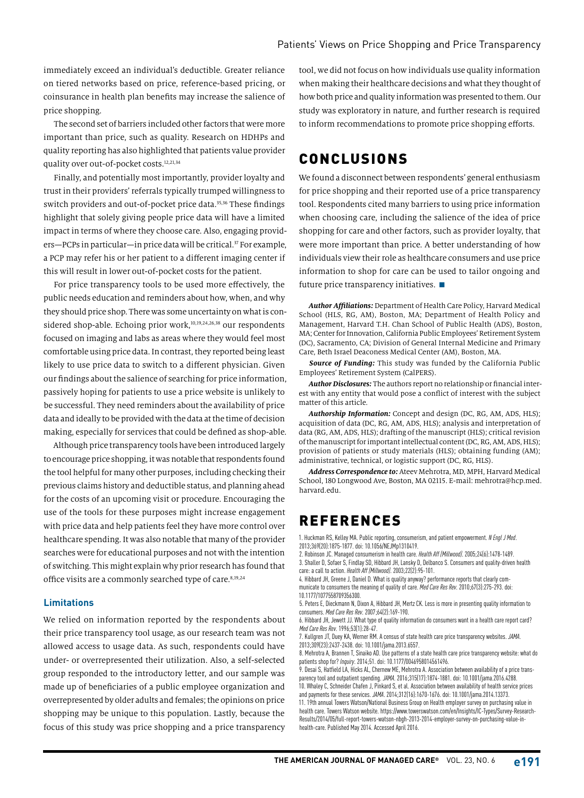immediately exceed an individual's deductible. Greater reliance on tiered networks based on price, reference-based pricing, or coinsurance in health plan benefits may increase the salience of price shopping.

The second set of barriers included other factors that were more important than price, such as quality. Research on HDHPs and quality reporting has also highlighted that patients value provider quality over out-of-pocket costs.<sup>12,21,34</sup>

Finally, and potentially most importantly, provider loyalty and trust in their providers' referrals typically trumped willingness to switch providers and out-of-pocket price data.<sup>35,36</sup> These findings highlight that solely giving people price data will have a limited impact in terms of where they choose care. Also, engaging providers—PCPs in particular—in price data will be critical.<sup>37</sup> For example, a PCP may refer his or her patient to a different imaging center if this will result in lower out-of-pocket costs for the patient.

For price transparency tools to be used more effectively, the public needs education and reminders about how, when, and why they should price shop. There was some uncertainty on what is considered shop-able. Echoing prior work,<sup>10,19,24,26,38</sup> our respondents focused on imaging and labs as areas where they would feel most comfortable using price data. In contrast, they reported being least likely to use price data to switch to a different physician. Given our findings about the salience of searching for price information, passively hoping for patients to use a price website is unlikely to be successful. They need reminders about the availability of price data and ideally to be provided with the data at the time of decision making, especially for services that could be defined as shop-able.

Although price transparency tools have been introduced largely to encourage price shopping, it was notable that respondents found the tool helpful for many other purposes, including checking their previous claims history and deductible status, and planning ahead for the costs of an upcoming visit or procedure. Encouraging the use of the tools for these purposes might increase engagement with price data and help patients feel they have more control over healthcare spending. It was also notable that many of the provider searches were for educational purposes and not with the intention of switching. This might explain why prior research has found that office visits are a commonly searched type of care.<sup>8,19,24</sup>

### **Limitations**

We relied on information reported by the respondents about their price transparency tool usage, as our research team was not allowed access to usage data. As such, respondents could have under- or overrepresented their utilization. Also, a self-selected group responded to the introductory letter, and our sample was made up of beneficiaries of a public employee organization and overrepresented by older adults and females; the opinions on price shopping may be unique to this population. Lastly, because the focus of this study was price shopping and a price transparency

tool, we did not focus on how individuals use quality information when making their healthcare decisions and what they thought of how both price and quality information was presented to them. Our study was exploratory in nature, and further research is required to inform recommendations to promote price shopping efforts.

# CONCLUSIONS

We found a disconnect between respondents' general enthusiasm for price shopping and their reported use of a price transparency tool. Respondents cited many barriers to using price information when choosing care, including the salience of the idea of price shopping for care and other factors, such as provider loyalty, that were more important than price. A better understanding of how individuals view their role as healthcare consumers and use price information to shop for care can be used to tailor ongoing and future price transparency initiatives.  $\blacksquare$ 

*Author Affiliations:* Department of Health Care Policy, Harvard Medical School (HLS, RG, AM), Boston, MA; Department of Health Policy and Management, Harvard T.H. Chan School of Public Health (ADS), Boston, MA; Center for Innovation, California Public Employees' Retirement System (DC), Sacramento, CA; Division of General Internal Medicine and Primary Care, Beth Israel Deaconess Medical Center (AM), Boston, MA.

*Source of Funding:* This study was funded by the California Public Employees' Retirement System (CalPERS).

*Author Disclosures:* The authors report no relationship or financial interest with any entity that would pose a conflict of interest with the subject matter of this article.

*Authorship Information:* Concept and design (DC, RG, AM, ADS, HLS); acquisition of data (DC, RG, AM, ADS, HLS); analysis and interpretation of data (RG, AM, ADS, HLS); drafting of the manuscript (HLS); critical revision of the manuscript for important intellectual content (DC, RG, AM, ADS, HLS); provision of patients or study materials (HLS); obtaining funding (AM); administrative, technical, or logistic support (DC, RG, HLS).

*Address Correspondence to:* Ateev Mehrotra, MD, MPH, Harvard Medical School, 180 Longwood Ave, Boston, MA 02115. E-mail: mehrotra@hcp.med. harvard.edu.

# REFERENCES

1. Huckman RS, Kelley MA. Public reporting, consumerism, and patient empowerment. *N Engl J Med*. 2013;369(20):1875-1877. doi: 10.1056/NEJMp1310419.

2. Robinson JC. Managed consumerism in health care. *Health Aff (Millwood)*. 2005;24(6):1478-1489. 3. Shaller D, Sofaer S, Findlay SD, Hibbard JH, Lansky D, Delbanco S. Consumers and quality-driven health care: a call to action. *Health Aff (Millwood)*. 2003;22(2):95-101.

4. Hibbard JH, Greene J, Daniel D. What is quality anyway? performance reports that clearly communicate to consumers the meaning of quality of care. *Med Care Res Rev*. 2010;67(3):275-293. doi: 10.1177/1077558709356300.

5. Peters E, Dieckmann N, Dixon A, Hibbard JH, Mertz CK. Less is more in presenting quality information to consumers. *Med Care Res Rev*. 2007;64(2):169-190.

6. Hibbard JH, Jewett JJ. What type of quality information do consumers want in a health care report card? *Med Care Res Rev*. 1996;53(1):28-47.

7. Kullgren JT, Duey KA, Werner RM. A census of state health care price transparency websites. *JAMA*. 2013;309(23):2437-2438. doi: 10.1001/jama.2013.6557.

8. Mehrotra A, Brannen T, Sinaiko AD. Use patterns of a state health care price transparency website: what do patients shop for? *Inquiry*. 2014;51. doi: 10.1177/0046958014561496.

9. Desai S, Hatfield LA, Hicks AL, Chernew ME, Mehrotra A. Association between availability of a price transparency tool and outpatient spending. *JAMA*. 2016;315(17):1874-1881. doi: 10.1001/jama.2016.4288. 10. Whaley C, Schneider Chafen J, Pinkard S, et al. Association between availability of health service prices and payments for these services. *JAMA*. 2014;312(16):1670-1676. doi: 10.1001/jama.2014.13373. 11. 19th annual Towers Watson/National Business Group on Health employer survey on purchasing value in

health care. Towers Watson website. https://www.towerswatson.com/en/Insights/IC-Types/Survey-Research-Results/2014/05/full-report-towers-watson-nbgh-2013-2014-employer-survey-on-purchasing-value-inhealth-care. Published May 2014. Accessed April 2016.